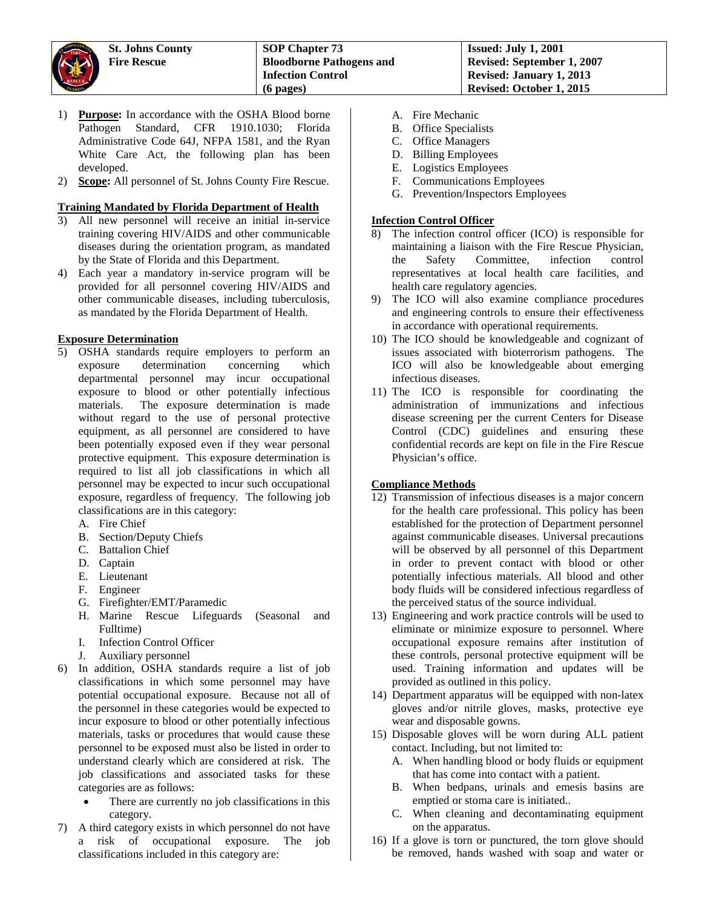- 1) **Purpose:** In accordance with the OSHA Blood borne Pathogen Standard, CFR 1910.1030; Florida Administrative Code 64J, NFPA 1581, and the Ryan White Care Act, the following plan has been developed.
- 2) **Scope:** All personnel of St. Johns County Fire Rescue.

# **Training Mandated by Florida Department of Health**

- 3) All new personnel will receive an initial in-service training covering HIV/AIDS and other communicable diseases during the orientation program, as mandated by the State of Florida and this Department.
- 4) Each year a mandatory in-service program will be provided for all personnel covering HIV/AIDS and other communicable diseases, including tuberculosis, as mandated by the Florida Department of Health.

### **Exposure Determination**

- 5) OSHA standards require employers to perform an determination concerning which departmental personnel may incur occupational exposure to blood or other potentially infectious materials. The exposure determination is made without regard to the use of personal protective equipment, as all personnel are considered to have been potentially exposed even if they wear personal protective equipment. This exposure determination is required to list all job classifications in which all personnel may be expected to incur such occupational exposure, regardless of frequency. The following job classifications are in this category:
	- A. Fire Chief
	- B. Section/Deputy Chiefs
	- C. Battalion Chief
	- D. Captain
	- E. Lieutenant
	- F. Engineer
	- G. Firefighter/EMT/Paramedic
	- H. Marine Rescue Lifeguards (Seasonal and Fulltime)
	- I. Infection Control Officer
	- J. Auxiliary personnel
- 6) In addition, OSHA standards require a list of job classifications in which some personnel may have potential occupational exposure. Because not all of the personnel in these categories would be expected to incur exposure to blood or other potentially infectious materials, tasks or procedures that would cause these personnel to be exposed must also be listed in order to understand clearly which are considered at risk. The job classifications and associated tasks for these categories are as follows:
	- There are currently no job classifications in this category.
- 7) A third category exists in which personnel do not have a risk of occupational exposure. The job classifications included in this category are:
- A. Fire Mechanic
- B. Office Specialists
- C. Office Managers
- D. Billing Employees
- E. Logistics Employees
- F. Communications Employees
- G. Prevention/Inspectors Employees

#### **Infection Control Officer**

- 8) The infection control officer (ICO) is responsible for maintaining a liaison with the Fire Rescue Physician, the Safety Committee, infection control representatives at local health care facilities, and health care regulatory agencies.
- 9) The ICO will also examine compliance procedures and engineering controls to ensure their effectiveness in accordance with operational requirements.
- 10) The ICO should be knowledgeable and cognizant of issues associated with bioterrorism pathogens. The ICO will also be knowledgeable about emerging infectious diseases.
- 11) The ICO is responsible for coordinating the administration of immunizations and infectious disease screening per the current Centers for Disease Control (CDC) guidelines and ensuring these confidential records are kept on file in the Fire Rescue Physician's office.

### **Compliance Methods**

- 12) Transmission of infectious diseases is a major concern for the health care professional. This policy has been established for the protection of Department personnel against communicable diseases. Universal precautions will be observed by all personnel of this Department in order to prevent contact with blood or other potentially infectious materials. All blood and other body fluids will be considered infectious regardless of the perceived status of the source individual.
- 13) Engineering and work practice controls will be used to eliminate or minimize exposure to personnel. Where occupational exposure remains after institution of these controls, personal protective equipment will be used. Training information and updates will be provided as outlined in this policy.
- 14) Department apparatus will be equipped with non-latex gloves and/or nitrile gloves, masks, protective eye wear and disposable gowns.
- 15) Disposable gloves will be worn during ALL patient contact. Including, but not limited to:
	- A. When handling blood or body fluids or equipment that has come into contact with a patient.
	- B. When bedpans, urinals and emesis basins are emptied or stoma care is initiated..
	- C. When cleaning and decontaminating equipment on the apparatus.
- 16) If a glove is torn or punctured, the torn glove should be removed, hands washed with soap and water or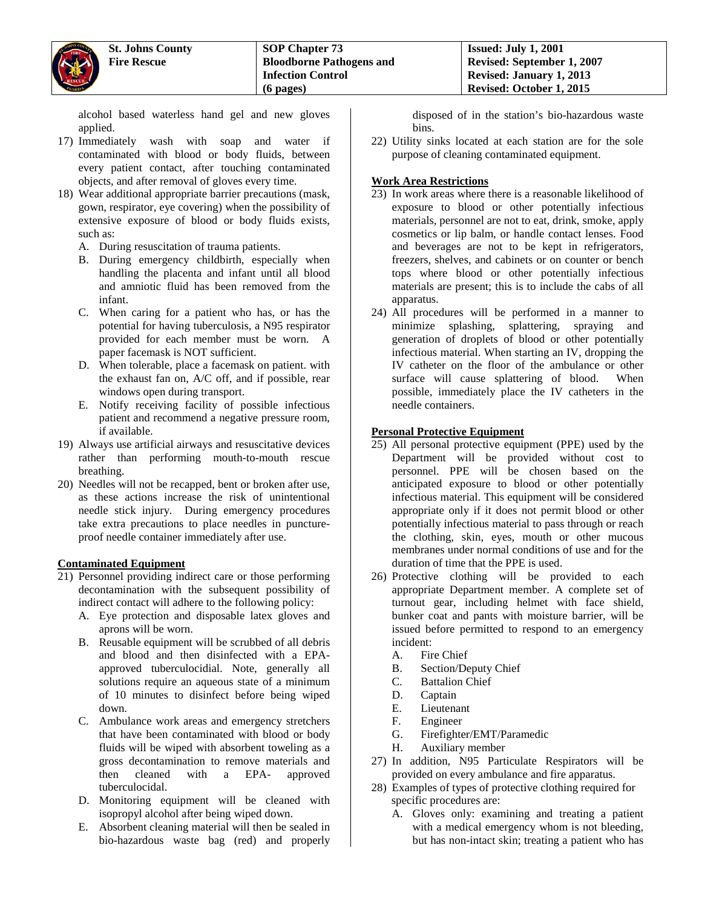alcohol based waterless hand gel and new gloves applied.

- 17) Immediately wash with soap and water if contaminated with blood or body fluids, between every patient contact, after touching contaminated objects, and after removal of gloves every time.
- 18) Wear additional appropriate barrier precautions (mask, gown, respirator, eye covering) when the possibility of extensive exposure of blood or body fluids exists, such as:
	- A. During resuscitation of trauma patients.
	- B. During emergency childbirth, especially when handling the placenta and infant until all blood and amniotic fluid has been removed from the infant.
	- C. When caring for a patient who has, or has the potential for having tuberculosis, a N95 respirator provided for each member must be worn. A paper facemask is NOT sufficient.
	- D. When tolerable, place a facemask on patient. with the exhaust fan on, A/C off, and if possible, rear windows open during transport.
	- E. Notify receiving facility of possible infectious patient and recommend a negative pressure room, if available.
- 19) Always use artificial airways and resuscitative devices rather than performing mouth-to-mouth rescue breathing.
- 20) Needles will not be recapped, bent or broken after use, as these actions increase the risk of unintentional needle stick injury. During emergency procedures take extra precautions to place needles in punctureproof needle container immediately after use.

### **Contaminated Equipment**

- 21) Personnel providing indirect care or those performing decontamination with the subsequent possibility of indirect contact will adhere to the following policy:
	- A. Eye protection and disposable latex gloves and aprons will be worn.
	- B. Reusable equipment will be scrubbed of all debris and blood and then disinfected with a EPAapproved tuberculocidial. Note, generally all solutions require an aqueous state of a minimum of 10 minutes to disinfect before being wiped down.
	- C. Ambulance work areas and emergency stretchers that have been contaminated with blood or body fluids will be wiped with absorbent toweling as a gross decontamination to remove materials and then cleaned with a EPA- approved tuberculocidal.
	- D. Monitoring equipment will be cleaned with isopropyl alcohol after being wiped down.
	- E. Absorbent cleaning material will then be sealed in bio-hazardous waste bag (red) and properly

disposed of in the station's bio-hazardous waste bins.

22) Utility sinks located at each station are for the sole purpose of cleaning contaminated equipment.

#### **Work Area Restrictions**

- 23) In work areas where there is a reasonable likelihood of exposure to blood or other potentially infectious materials, personnel are not to eat, drink, smoke, apply cosmetics or lip balm, or handle contact lenses. Food and beverages are not to be kept in refrigerators, freezers, shelves, and cabinets or on counter or bench tops where blood or other potentially infectious materials are present; this is to include the cabs of all apparatus.
- 24) All procedures will be performed in a manner to minimize splashing, splattering, spraying and generation of droplets of blood or other potentially infectious material. When starting an IV, dropping the IV catheter on the floor of the ambulance or other surface will cause splattering of blood. When possible, immediately place the IV catheters in the needle containers.

### **Personal Protective Equipment**

- 25) All personal protective equipment (PPE) used by the Department will be provided without cost to personnel. PPE will be chosen based on the anticipated exposure to blood or other potentially infectious material. This equipment will be considered appropriate only if it does not permit blood or other potentially infectious material to pass through or reach the clothing, skin, eyes, mouth or other mucous membranes under normal conditions of use and for the duration of time that the PPE is used.
- 26) Protective clothing will be provided to each appropriate Department member. A complete set of turnout gear, including helmet with face shield, bunker coat and pants with moisture barrier, will be issued before permitted to respond to an emergency incident:
	- A. Fire Chief
	- B. Section/Deputy Chief
	- C. Battalion Chief
	- D. Captain
	- E. Lieutenant<br>F. Engineer
	- **Engineer**
	- G. Firefighter/EMT/Paramedic
	- H. Auxiliary member
- 27) In addition, N95 Particulate Respirators will be provided on every ambulance and fire apparatus.
- 28) Examples of types of protective clothing required for specific procedures are:
	- A. Gloves only: examining and treating a patient with a medical emergency whom is not bleeding, but has non-intact skin; treating a patient who has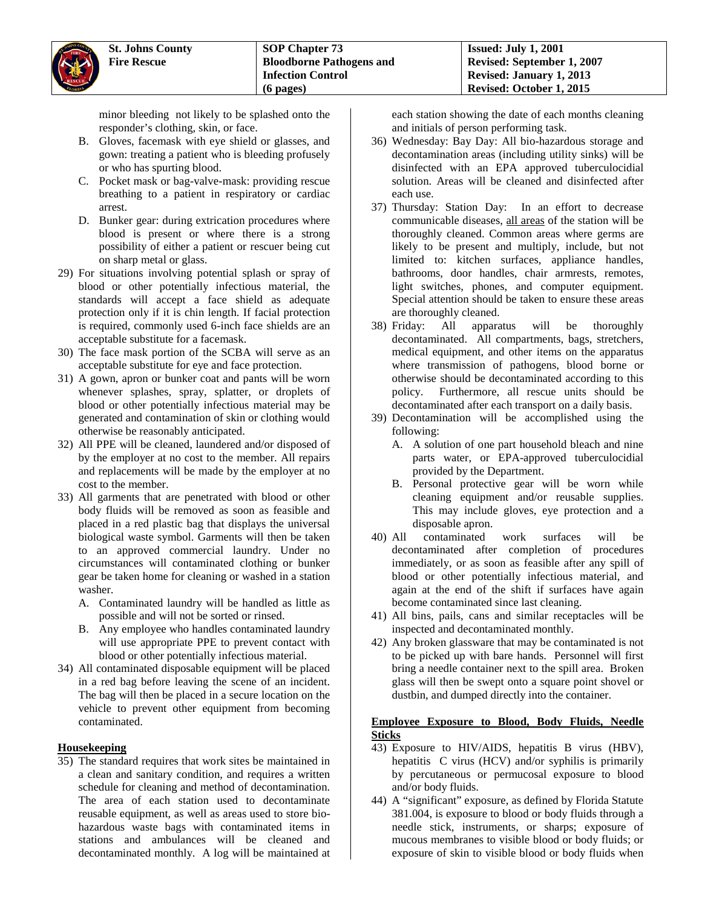minor bleeding not likely to be splashed onto the responder's clothing, skin, or face.

- B. Gloves, facemask with eye shield or glasses, and gown: treating a patient who is bleeding profusely or who has spurting blood.
- C. Pocket mask or bag-valve-mask: providing rescue breathing to a patient in respiratory or cardiac arrest.
- D. Bunker gear: during extrication procedures where blood is present or where there is a strong possibility of either a patient or rescuer being cut on sharp metal or glass.
- 29) For situations involving potential splash or spray of blood or other potentially infectious material, the standards will accept a face shield as adequate protection only if it is chin length. If facial protection is required, commonly used 6-inch face shields are an acceptable substitute for a facemask.
- 30) The face mask portion of the SCBA will serve as an acceptable substitute for eye and face protection.
- 31) A gown, apron or bunker coat and pants will be worn whenever splashes, spray, splatter, or droplets of blood or other potentially infectious material may be generated and contamination of skin or clothing would otherwise be reasonably anticipated.
- 32) All PPE will be cleaned, laundered and/or disposed of by the employer at no cost to the member. All repairs and replacements will be made by the employer at no cost to the member.
- 33) All garments that are penetrated with blood or other body fluids will be removed as soon as feasible and placed in a red plastic bag that displays the universal biological waste symbol. Garments will then be taken to an approved commercial laundry. Under no circumstances will contaminated clothing or bunker gear be taken home for cleaning or washed in a station washer.
	- A. Contaminated laundry will be handled as little as possible and will not be sorted or rinsed.
	- B. Any employee who handles contaminated laundry will use appropriate PPE to prevent contact with blood or other potentially infectious material.
- 34) All contaminated disposable equipment will be placed in a red bag before leaving the scene of an incident. The bag will then be placed in a secure location on the vehicle to prevent other equipment from becoming contaminated.

# **Housekeeping**

35) The standard requires that work sites be maintained in a clean and sanitary condition, and requires a written schedule for cleaning and method of decontamination. The area of each station used to decontaminate reusable equipment, as well as areas used to store biohazardous waste bags with contaminated items in stations and ambulances will be cleaned and decontaminated monthly. A log will be maintained at

each station showing the date of each months cleaning and initials of person performing task.

- 36) Wednesday: Bay Day: All bio-hazardous storage and decontamination areas (including utility sinks) will be disinfected with an EPA approved tuberculocidial solution. Areas will be cleaned and disinfected after each use.
- 37) Thursday: Station Day: In an effort to decrease communicable diseases, all areas of the station will be thoroughly cleaned. Common areas where germs are likely to be present and multiply, include, but not limited to: kitchen surfaces, appliance handles, bathrooms, door handles, chair armrests, remotes, light switches, phones, and computer equipment. Special attention should be taken to ensure these areas are thoroughly cleaned.
- 38) Friday: All apparatus will be thoroughly decontaminated. All compartments, bags, stretchers, medical equipment, and other items on the apparatus where transmission of pathogens, blood borne or otherwise should be decontaminated according to this policy. Furthermore, all rescue units should be decontaminated after each transport on a daily basis.
- 39) Decontamination will be accomplished using the following:
	- A. A solution of one part household bleach and nine parts water, or EPA-approved tuberculocidial provided by the Department.
	- B. Personal protective gear will be worn while cleaning equipment and/or reusable supplies. This may include gloves, eye protection and a disposable apron.
- 40) All contaminated work surfaces will be decontaminated after completion of procedures immediately, or as soon as feasible after any spill of blood or other potentially infectious material, and again at the end of the shift if surfaces have again become contaminated since last cleaning.
- 41) All bins, pails, cans and similar receptacles will be inspected and decontaminated monthly.
- 42) Any broken glassware that may be contaminated is not to be picked up with bare hands. Personnel will first bring a needle container next to the spill area. Broken glass will then be swept onto a square point shovel or dustbin, and dumped directly into the container.

### **Employee Exposure to Blood, Body Fluids, Needle Sticks**

- 43) Exposure to HIV/AIDS, hepatitis B virus (HBV), hepatitis C virus (HCV) and/or syphilis is primarily by percutaneous or permucosal exposure to blood and/or body fluids.
- 44) A "significant" exposure, as defined by Florida Statute 381.004, is exposure to blood or body fluids through a needle stick, instruments, or sharps; exposure of mucous membranes to visible blood or body fluids; or exposure of skin to visible blood or body fluids when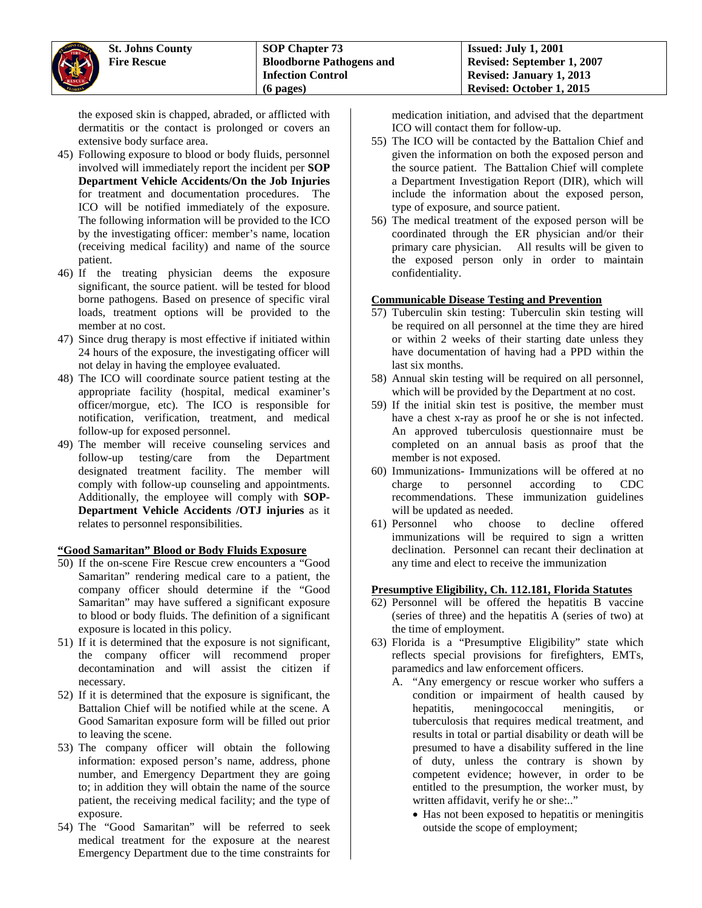the exposed skin is chapped, abraded, or afflicted with dermatitis or the contact is prolonged or covers an extensive body surface area.

- 45) Following exposure to blood or body fluids, personnel involved will immediately report the incident per **SOP Department Vehicle Accidents/On the Job Injuries** for treatment and documentation procedures. The ICO will be notified immediately of the exposure. The following information will be provided to the ICO by the investigating officer: member's name, location (receiving medical facility) and name of the source patient.
- 46) If the treating physician deems the exposure significant, the source patient. will be tested for blood borne pathogens. Based on presence of specific viral loads, treatment options will be provided to the member at no cost.
- 47) Since drug therapy is most effective if initiated within 24 hours of the exposure, the investigating officer will not delay in having the employee evaluated.
- 48) The ICO will coordinate source patient testing at the appropriate facility (hospital, medical examiner's officer/morgue, etc). The ICO is responsible for notification, verification, treatment, and medical follow-up for exposed personnel.
- 49) The member will receive counseling services and follow-up testing/care from the Department designated treatment facility. The member will comply with follow-up counseling and appointments. Additionally, the employee will comply with **SOP-Department Vehicle Accidents /OTJ injuries** as it relates to personnel responsibilities.

### **"Good Samaritan" Blood or Body Fluids Exposure**

- 50) If the on-scene Fire Rescue crew encounters a "Good Samaritan" rendering medical care to a patient, the company officer should determine if the "Good Samaritan" may have suffered a significant exposure to blood or body fluids. The definition of a significant exposure is located in this policy.
- 51) If it is determined that the exposure is not significant, the company officer will recommend proper decontamination and will assist the citizen if necessary.
- 52) If it is determined that the exposure is significant, the Battalion Chief will be notified while at the scene. A Good Samaritan exposure form will be filled out prior to leaving the scene.
- 53) The company officer will obtain the following information: exposed person's name, address, phone number, and Emergency Department they are going to; in addition they will obtain the name of the source patient, the receiving medical facility; and the type of exposure.
- 54) The "Good Samaritan" will be referred to seek medical treatment for the exposure at the nearest Emergency Department due to the time constraints for

medication initiation, and advised that the department ICO will contact them for follow-up.

- 55) The ICO will be contacted by the Battalion Chief and given the information on both the exposed person and the source patient. The Battalion Chief will complete a Department Investigation Report (DIR), which will include the information about the exposed person, type of exposure, and source patient.
- 56) The medical treatment of the exposed person will be coordinated through the ER physician and/or their primary care physician. All results will be given to the exposed person only in order to maintain confidentiality.

### **Communicable Disease Testing and Prevention**

- 57) Tuberculin skin testing: Tuberculin skin testing will be required on all personnel at the time they are hired or within 2 weeks of their starting date unless they have documentation of having had a PPD within the last six months.
- 58) Annual skin testing will be required on all personnel, which will be provided by the Department at no cost.
- 59) If the initial skin test is positive, the member must have a chest x-ray as proof he or she is not infected. An approved tuberculosis questionnaire must be completed on an annual basis as proof that the member is not exposed.
- 60) Immunizations- Immunizations will be offered at no charge to personnel according to CDC recommendations. These immunization guidelines will be updated as needed.
- 61) Personnel who choose to decline offered immunizations will be required to sign a written declination. Personnel can recant their declination at any time and elect to receive the immunization

### **Presumptive Eligibility, Ch. 112.181, Florida Statutes**

- 62) Personnel will be offered the hepatitis B vaccine (series of three) and the hepatitis A (series of two) at the time of employment.
- 63) Florida is a "Presumptive Eligibility" state which reflects special provisions for firefighters, EMTs, paramedics and law enforcement officers.
	- A. "Any emergency or rescue worker who suffers a condition or impairment of health caused by hepatitis, meningococcal meningitis, or tuberculosis that requires medical treatment, and results in total or partial disability or death will be presumed to have a disability suffered in the line of duty, unless the contrary is shown by competent evidence; however, in order to be entitled to the presumption, the worker must, by written affidavit, verify he or she:.."
		- Has not been exposed to hepatitis or meningitis outside the scope of employment;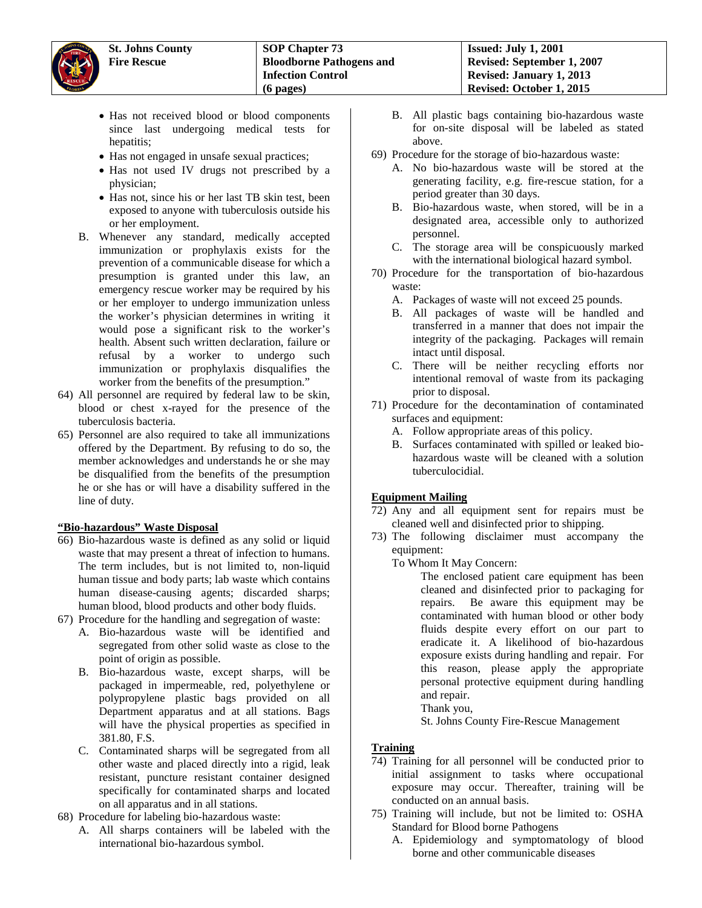- Has not received blood or blood components since last undergoing medical tests for hepatitis;
- Has not engaged in unsafe sexual practices;
- Has not used IV drugs not prescribed by a physician;
- Has not, since his or her last TB skin test, been exposed to anyone with tuberculosis outside his or her employment.
- B. Whenever any standard, medically accepted immunization or prophylaxis exists for the prevention of a communicable disease for which a presumption is granted under this law, an emergency rescue worker may be required by his or her employer to undergo immunization unless the worker's physician determines in writing it would pose a significant risk to the worker's health. Absent such written declaration, failure or refusal by a worker to undergo such immunization or prophylaxis disqualifies the worker from the benefits of the presumption."
- 64) All personnel are required by federal law to be skin, blood or chest x-rayed for the presence of the tuberculosis bacteria.
- 65) Personnel are also required to take all immunizations offered by the Department. By refusing to do so, the member acknowledges and understands he or she may be disqualified from the benefits of the presumption he or she has or will have a disability suffered in the line of duty.

### **"Bio-hazardous" Waste Disposal**

- 66) Bio-hazardous waste is defined as any solid or liquid waste that may present a threat of infection to humans. The term includes, but is not limited to, non-liquid human tissue and body parts; lab waste which contains human disease-causing agents; discarded sharps; human blood, blood products and other body fluids.
- 67) Procedure for the handling and segregation of waste:
	- A. Bio-hazardous waste will be identified and segregated from other solid waste as close to the point of origin as possible.
	- B. Bio-hazardous waste, except sharps, will be packaged in impermeable, red, polyethylene or polypropylene plastic bags provided on all Department apparatus and at all stations. Bags will have the physical properties as specified in 381.80, F.S.
	- C. Contaminated sharps will be segregated from all other waste and placed directly into a rigid, leak resistant, puncture resistant container designed specifically for contaminated sharps and located on all apparatus and in all stations.
- 68) Procedure for labeling bio-hazardous waste:
	- A. All sharps containers will be labeled with the international bio-hazardous symbol.
- B. All plastic bags containing bio-hazardous waste for on-site disposal will be labeled as stated above.
- 69) Procedure for the storage of bio-hazardous waste:
	- A. No bio-hazardous waste will be stored at the generating facility, e.g. fire-rescue station, for a period greater than 30 days.
	- B. Bio-hazardous waste, when stored, will be in a designated area, accessible only to authorized personnel.
	- C. The storage area will be conspicuously marked with the international biological hazard symbol.
- 70) Procedure for the transportation of bio-hazardous waste:
	- A. Packages of waste will not exceed 25 pounds.
	- B. All packages of waste will be handled and transferred in a manner that does not impair the integrity of the packaging. Packages will remain intact until disposal.
	- C. There will be neither recycling efforts nor intentional removal of waste from its packaging prior to disposal.
- 71) Procedure for the decontamination of contaminated surfaces and equipment:
	- A. Follow appropriate areas of this policy.
	- B. Surfaces contaminated with spilled or leaked biohazardous waste will be cleaned with a solution tuberculocidial.

# **Equipment Mailing**

- 72) Any and all equipment sent for repairs must be cleaned well and disinfected prior to shipping.
- 73) The following disclaimer must accompany the equipment:

To Whom It May Concern:

The enclosed patient care equipment has been cleaned and disinfected prior to packaging for repairs. Be aware this equipment may be contaminated with human blood or other body fluids despite every effort on our part to eradicate it. A likelihood of bio-hazardous exposure exists during handling and repair. For this reason, please apply the appropriate personal protective equipment during handling and repair.

Thank you,

St. Johns County Fire-Rescue Management

# **Training**

- 74) Training for all personnel will be conducted prior to initial assignment to tasks where occupational exposure may occur. Thereafter, training will be conducted on an annual basis.
- 75) Training will include, but not be limited to: OSHA Standard for Blood borne Pathogens
	- A. Epidemiology and symptomatology of blood borne and other communicable diseases